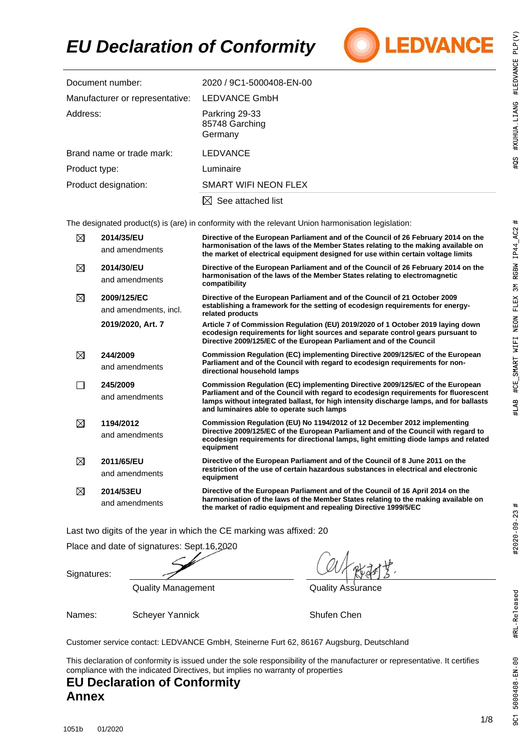# *EU Declaration of Conformity*



| Document number:                | 2020 / 9C1-5000408-EN-00                    |
|---------------------------------|---------------------------------------------|
| Manufacturer or representative: | <b>LEDVANCE GmbH</b>                        |
| Address:                        | Parkring 29-33<br>85748 Garching<br>Germany |
| Brand name or trade mark:       | <b>LEDVANCE</b>                             |
| Product type:                   | Luminaire                                   |
| Product designation:            | SMART WIFI NEON FLEX                        |
|                                 | See attached list                           |

The designated product(s) is (are) in conformity with the relevant Union harmonisation legislation:

| $\boxtimes$ | 2014/35/EU<br>and amendments         | Directive of the European Parliament and of the Council of 26 February 2014 on the<br>harmonisation of the laws of the Member States relating to the making available on<br>the market of electrical equipment designed for use within certain voltage limits                                               |
|-------------|--------------------------------------|-------------------------------------------------------------------------------------------------------------------------------------------------------------------------------------------------------------------------------------------------------------------------------------------------------------|
| ⊠           | 2014/30/EU<br>and amendments         | Directive of the European Parliament and of the Council of 26 February 2014 on the<br>harmonisation of the laws of the Member States relating to electromagnetic<br>compatibility                                                                                                                           |
| ⊠           | 2009/125/EC<br>and amendments, incl. | Directive of the European Parliament and of the Council of 21 October 2009<br>establishing a framework for the setting of ecodesign requirements for energy-<br>related products                                                                                                                            |
|             | 2019/2020, Art. 7                    | Article 7 of Commission Regulation (EU) 2019/2020 of 1 October 2019 laying down<br>ecodesign requirements for light sources and separate control gears pursuant to<br>Directive 2009/125/EC of the European Parliament and of the Council                                                                   |
| ⊠           | 244/2009<br>and amendments           | Commission Regulation (EC) implementing Directive 2009/125/EC of the European<br>Parliament and of the Council with regard to ecodesign reguirements for non-<br>directional household lamps                                                                                                                |
|             | 245/2009<br>and amendments           | Commission Regulation (EC) implementing Directive 2009/125/EC of the European<br>Parliament and of the Council with regard to ecodesign requirements for fluorescent<br>lamps without integrated ballast, for high intensity discharge lamps, and for ballasts<br>and luminaires able to operate such lamps |
| ⊠           | 1194/2012<br>and amendments          | Commission Regulation (EU) No 1194/2012 of 12 December 2012 implementing<br>Directive 2009/125/EC of the European Parliament and of the Council with regard to<br>ecodesign requirements for directional lamps, light emitting diode lamps and related<br>equipment                                         |
| ⊠           | 2011/65/EU<br>and amendments         | Directive of the European Parliament and of the Council of 8 June 2011 on the<br>restriction of the use of certain hazardous substances in electrical and electronic<br>equipment                                                                                                                           |
| ⊠           | 2014/53EU<br>and amendments          | Directive of the European Parliament and of the Council of 16 April 2014 on the<br>harmonisation of the laws of the Member States relating to the making available on<br>the market of radio equipment and repealing Directive 1999/5/EC                                                                    |

Last two digits of the year in which the CE marking was affixed: 20

Place and date of signatures: Sept.16,2020

Signatures:

Quality Management **Quality Assurance** 

Names: Scheyer Yannick Shufen Chen

Customer service contact: LEDVANCE GmbH, Steinerne Furt 62, 86167 Augsburg, Deutschland

This declaration of conformity is issued under the sole responsibility of the manufacturer or representative. It certifies compliance with the indicated Directives, but implies no warranty of properties

### **EU Declaration of Conformity Annex**

#LAB #CE\_SMART WIFI NEON FLEX 3M RGBW IP44\_AC2 #

9C1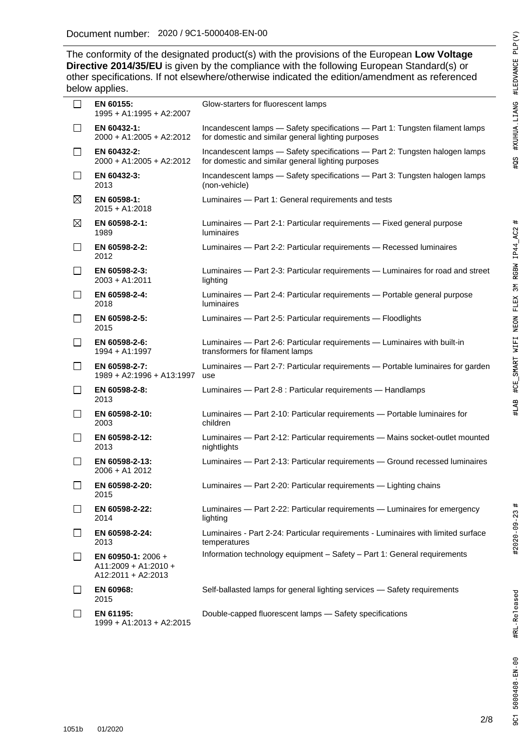2020 / 9C1- The conformity of the designated product(s) with the provisions of the European Low Voltage **Directive 2014/35/EU** is given by the compliance with the following European Standard(s) or other specifications. If not elsewhere/otherwise indicated the edition/amendment as referenced below applies.

| $\Box$                   | EN 60155:<br>1995 + A1:1995 + A2:2007                                | Glow-starters for fluorescent lamps                                                                                                |
|--------------------------|----------------------------------------------------------------------|------------------------------------------------------------------------------------------------------------------------------------|
|                          | EN 60432-1:<br>2000 + A1:2005 + A2:2012                              | Incandescent lamps - Safety specifications - Part 1: Tungsten filament lamps<br>for domestic and similar general lighting purposes |
| $\Box$                   | EN 60432-2:<br>2000 + A1:2005 + A2:2012                              | Incandescent lamps - Safety specifications - Part 2: Tungsten halogen lamps<br>for domestic and similar general lighting purposes  |
| $\mathsf{L}$             | EN 60432-3:<br>2013                                                  | Incandescent lamps - Safety specifications - Part 3: Tungsten halogen lamps<br>(non-vehicle)                                       |
| $\boxtimes$              | EN 60598-1:<br>$2015 + A1:2018$                                      | Luminaires - Part 1: General requirements and tests                                                                                |
| $\boxtimes$              | EN 60598-2-1:<br>1989                                                | Luminaires - Part 2-1: Particular requirements - Fixed general purpose<br><b>luminaires</b>                                        |
| $\Box$                   | EN 60598-2-2:<br>2012                                                | Luminaires - Part 2-2: Particular requirements - Recessed luminaires                                                               |
| $\Box$                   | EN 60598-2-3:<br>$2003 + A1:2011$                                    | Luminaires - Part 2-3: Particular requirements - Luminaires for road and street<br>lighting                                        |
| $\mathsf{L}$             | EN 60598-2-4:<br>2018                                                | Luminaires - Part 2-4: Particular requirements - Portable general purpose<br><b>luminaires</b>                                     |
| $\mathbb{R}^n$           | EN 60598-2-5:<br>2015                                                | Luminaires - Part 2-5: Particular requirements - Floodlights                                                                       |
| $\mathsf{L}$             | EN 60598-2-6:<br>1994 + A1:1997                                      | Luminaires - Part 2-6: Particular requirements - Luminaires with built-in<br>transformers for filament lamps                       |
| $\mathsf{L}$             | EN 60598-2-7:<br>1989 + A2:1996 + A13:1997                           | Luminaires - Part 2-7: Particular requirements - Portable luminaires for garden<br>use                                             |
| $\mathbb{R}^n$           | EN 60598-2-8:<br>2013                                                | Luminaires - Part 2-8 : Particular requirements - Handlamps                                                                        |
| $\mathsf{L}$             | EN 60598-2-10:<br>2003                                               | Luminaires - Part 2-10: Particular requirements - Portable luminaires for<br>children                                              |
| h.                       | EN 60598-2-12:<br>2013                                               | Luminaires - Part 2-12: Particular requirements - Mains socket-outlet mounted<br>nightlights                                       |
| $\mathsf{L}$             | EN 60598-2-13:<br>2006 + A1 2012                                     | Luminaires - Part 2-13: Particular requirements - Ground recessed luminaires                                                       |
| $\overline{\phantom{a}}$ | EN 60598-2-20:<br>2015                                               | Luminaires - Part 2-20: Particular requirements - Lighting chains                                                                  |
|                          | EN 60598-2-22:<br>2014                                               | Luminaires - Part 2-22: Particular requirements - Luminaires for emergency<br>lighting                                             |
| $\mathsf{L}$             | EN 60598-2-24:<br>2013                                               | Luminaires - Part 2-24: Particular requirements - Luminaires with limited surface<br>temperatures                                  |
| $\mathbf{L}$             | EN 60950-1: $2006 +$<br>$A11:2009 + A1:2010 +$<br>A12:2011 + A2:2013 | Information technology equipment - Safety - Part 1: General requirements                                                           |
|                          | EN 60968:<br>2015                                                    | Self-ballasted lamps for general lighting services - Safety requirements                                                           |
|                          | EN 61195:                                                            | Double-capped fluorescent lamps - Safety specifications                                                                            |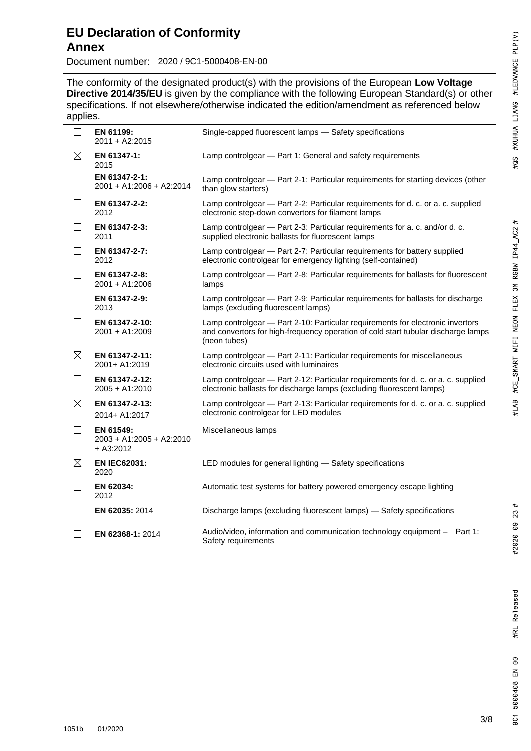# #LAB #CE\_SMART WIFI NEON FLEX 3M RGBW IP44\_AC2 #

Document number: 2020 / 9C1-5000408-EN-00

2020 / 9C1- The conformity of the designated product(s) with the provisions of the European Low Voltage **Directive 2014/35/EU** is given by the compliance with the following European Standard(s) or other specifications. If not elsewhere/otherwise indicated the edition/amendment as referenced below applies.

| . .          |                                                        |                                                                                                                                                                                     |
|--------------|--------------------------------------------------------|-------------------------------------------------------------------------------------------------------------------------------------------------------------------------------------|
| $\mathsf{L}$ | EN 61199:<br>2011 + A2:2015                            | Single-capped fluorescent lamps - Safety specifications                                                                                                                             |
| $\boxtimes$  | EN 61347-1:<br>2015                                    | Lamp controlgear - Part 1: General and safety requirements                                                                                                                          |
| $\Box$       | EN 61347-2-1:<br>2001 + A1:2006 + A2:2014              | Lamp controlgear — Part 2-1: Particular requirements for starting devices (other<br>than glow starters)                                                                             |
| $\Box$       | EN 61347-2-2:<br>2012                                  | Lamp controlgear - Part 2-2: Particular requirements for d. c. or a. c. supplied<br>electronic step-down convertors for filament lamps                                              |
| $\Box$       | EN 61347-2-3:<br>2011                                  | Lamp controlgear - Part 2-3: Particular requirements for a. c. and/or d. c.<br>supplied electronic ballasts for fluorescent lamps                                                   |
| $\perp$      | EN 61347-2-7:<br>2012                                  | Lamp controlgear - Part 2-7: Particular requirements for battery supplied<br>electronic controlgear for emergency lighting (self-contained)                                         |
| $\perp$      | EN 61347-2-8:<br>2001 + A1:2006                        | Lamp controlgear - Part 2-8: Particular requirements for ballasts for fluorescent<br>lamps                                                                                          |
| $\Box$       | EN 61347-2-9:<br>2013                                  | Lamp controlgear - Part 2-9: Particular requirements for ballasts for discharge<br>lamps (excluding fluorescent lamps)                                                              |
| $\perp$      | EN 61347-2-10:<br>2001 + A1:2009                       | Lamp controlgear - Part 2-10: Particular requirements for electronic invertors<br>and convertors for high-frequency operation of cold start tubular discharge lamps<br>(neon tubes) |
| $\boxtimes$  | EN 61347-2-11:<br>2001+ A1:2019                        | Lamp controlgear - Part 2-11: Particular requirements for miscellaneous<br>electronic circuits used with luminaires                                                                 |
| $\perp$      | EN 61347-2-12:<br>2005 + A1:2010                       | Lamp controlgear - Part 2-12: Particular requirements for d. c. or a. c. supplied<br>electronic ballasts for discharge lamps (excluding fluorescent lamps)                          |
| $\boxtimes$  | EN 61347-2-13:<br>2014+ A1:2017                        | Lamp controlgear - Part 2-13: Particular requirements for d. c. or a. c. supplied<br>electronic controlgear for LED modules                                                         |
| U            | EN 61549:<br>$2003 + A1:2005 + A2:2010$<br>$+ A3:2012$ | Miscellaneous lamps                                                                                                                                                                 |
| $\boxtimes$  | <b>EN IEC62031:</b><br>2020                            | LED modules for general lighting - Safety specifications                                                                                                                            |
| $\Box$       | EN 62034:<br>2012                                      | Automatic test systems for battery powered emergency escape lighting                                                                                                                |
| $\mathsf{L}$ | EN 62035: 2014                                         | Discharge lamps (excluding fluorescent lamps) - Safety specifications                                                                                                               |
|              | EN 62368-1: 2014                                       | Audio/video, information and communication technology equipment - Part 1:<br>Safety requirements                                                                                    |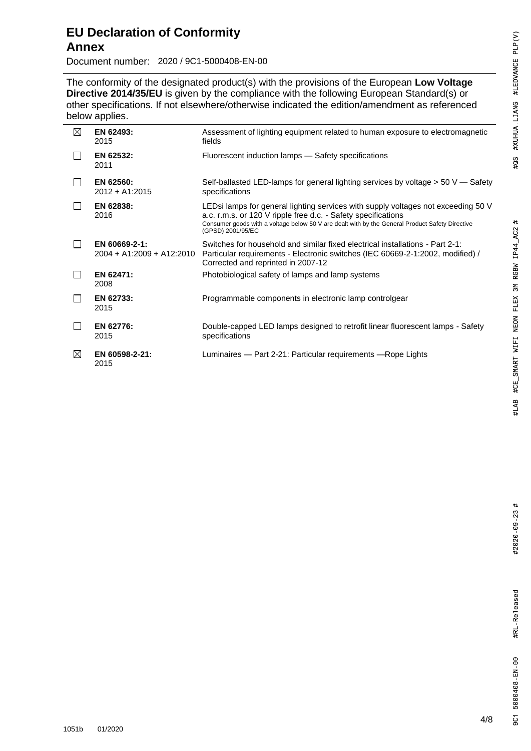# **EU Declaration of Conformity Annex**

Document number: 2020 / 9C1-5000408-EN-00

2020 / 9C1- The conformity of the designated product(s) with the provisions of the European Low Voltage **Directive 2014/35/EU** is given by the compliance with the following European Standard(s) or other specifications. If not elsewhere/otherwise indicated the edition/amendment as referenced below applies.

| ⊠ | EN 62493:<br>2015                          | Assessment of lighting equipment related to human exposure to electromagnetic<br>fields                                                                                                                                                                                    |
|---|--------------------------------------------|----------------------------------------------------------------------------------------------------------------------------------------------------------------------------------------------------------------------------------------------------------------------------|
|   | EN 62532:<br>2011                          | Fluorescent induction lamps - Safety specifications                                                                                                                                                                                                                        |
|   | EN 62560:<br>$2012 + A1:2015$              | Self-ballasted LED-lamps for general lighting services by voltage $> 50$ V — Safety<br>specifications                                                                                                                                                                      |
|   | EN 62838:<br>2016                          | LEDsi lamps for general lighting services with supply voltages not exceeding 50 V<br>a.c. r.m.s. or 120 V ripple free d.c. - Safety specifications<br>Consumer goods with a voltage below 50 V are dealt with by the General Product Safety Directive<br>(GPSD) 2001/95/EC |
|   | EN 60669-2-1:<br>2004 + A1:2009 + A12:2010 | Switches for household and similar fixed electrical installations - Part 2-1:<br>Particular requirements - Electronic switches (IEC 60669-2-1:2002, modified) /<br>Corrected and reprinted in 2007-12                                                                      |
|   | EN 62471:<br>2008                          | Photobiological safety of lamps and lamp systems                                                                                                                                                                                                                           |
|   | EN 62733:<br>2015                          | Programmable components in electronic lamp controlgear                                                                                                                                                                                                                     |
|   | EN 62776:<br>2015                          | Double-capped LED lamps designed to retrofit linear fluorescent lamps - Safety<br>specifications                                                                                                                                                                           |
| ⊠ | EN 60598-2-21:<br>2015                     | Luminaires - Part 2-21: Particular requirements - Rope Lights                                                                                                                                                                                                              |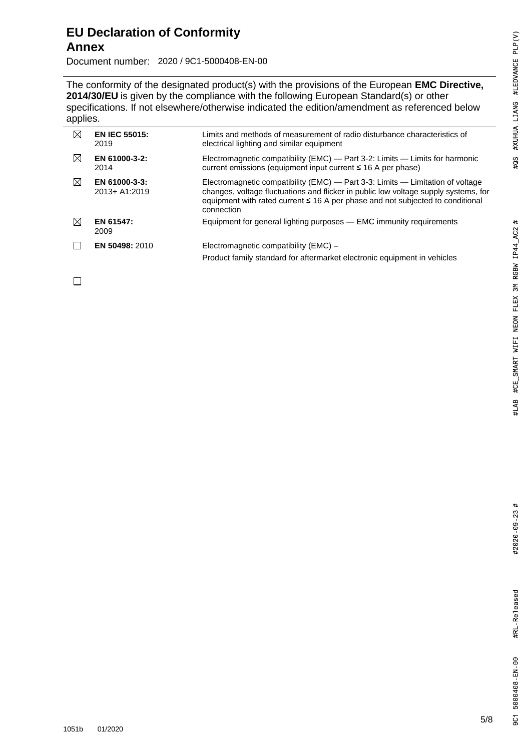Document number: 2020 / 9C1-5000408-EN-00

The conformity of the designated product(s) with the provisions of the European **EMC Directive**, **2014/30/EU** is given by the compliance with the following European Standard(s) or other specifications. If not elsewhere/otherwise indicated the edition/amendment as referenced below applies.

| ⊠           | <b>EN IEC 55015:</b><br>2019   | Limits and methods of measurement of radio disturbance characteristics of<br>electrical lighting and similar equipment                                                                                                                                                     |
|-------------|--------------------------------|----------------------------------------------------------------------------------------------------------------------------------------------------------------------------------------------------------------------------------------------------------------------------|
| $\boxtimes$ | EN 61000-3-2:<br>2014          | Electromagnetic compatibility (EMC) — Part 3-2: Limits — Limits for harmonic<br>current emissions (equipment input current ≤ 16 A per phase)                                                                                                                               |
| ⊠           | EN 61000-3-3:<br>2013+ A1:2019 | Electromagnetic compatibility (EMC) - Part 3-3: Limits - Limitation of voltage<br>changes, voltage fluctuations and flicker in public low voltage supply systems, for<br>equipment with rated current $\leq$ 16 A per phase and not subjected to conditional<br>connection |
| ⊠           | EN 61547:<br>2009              | Equipment for general lighting purposes — EMC immunity requirements                                                                                                                                                                                                        |
|             | <b>EN 50498: 2010</b>          | Electromagnetic compatibility (EMC) –<br>Product family standard for aftermarket electronic equipment in vehicles                                                                                                                                                          |

 $\Box$ 

2020 / 9C1-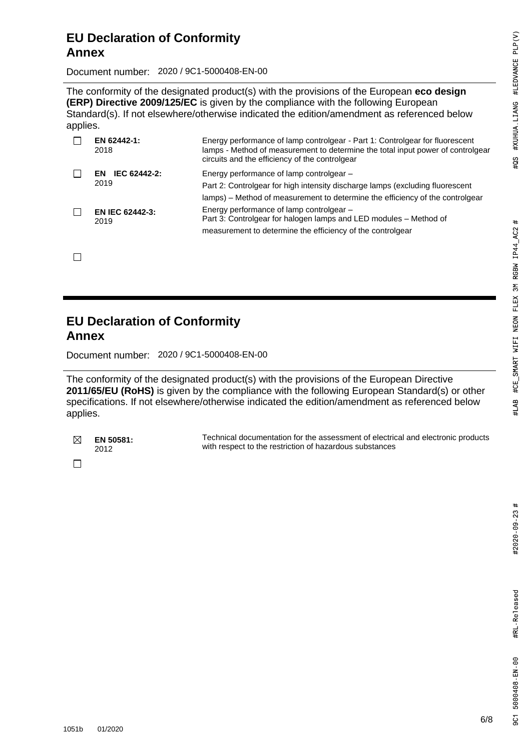## **EU Declaration of Conformity Annex**

Document number: 2020 / 9C1-5000408-EN-00

The conformity of the designated product(s) with the provisions of the European **eco design (ERP) Directive 2009/125/EC** is given by the compliance with the following European Standard(s). If not elsewhere/otherwise indicated the edition/amendment as referenced below applies.

| EN 62442-1:<br>2018            | Energy performance of lamp controlgear - Part 1: Controlgear for fluorescent<br>lamps - Method of measurement to determine the total input power of controlgear<br>circuits and the efficiency of the controlgear |
|--------------------------------|-------------------------------------------------------------------------------------------------------------------------------------------------------------------------------------------------------------------|
| IEC 62442-2:<br>FN.<br>2019    | Energy performance of lamp controlgear -<br>Part 2: Controlgear for high intensity discharge lamps (excluding fluorescent<br>lamps) – Method of measurement to determine the efficiency of the controlgear        |
| <b>EN IEC 62442-3:</b><br>2019 | Energy performance of lamp controlgear -<br>Part 3: Controlgear for halogen lamps and LED modules - Method of<br>measurement to determine the efficiency of the controlgear                                       |

 $\Box$ 

# **EU Declaration of Conformity Annex**

Document number: 2020 / 9C1-5000408-EN-00

The conformity of the designated product(s) with the provisions of the European Directive **2011/65/EU (RoHS)** is given by the compliance with the following European Standard(s) or other specifications. If not elsewhere/otherwise indicated the edition/amendment as referenced below applies.

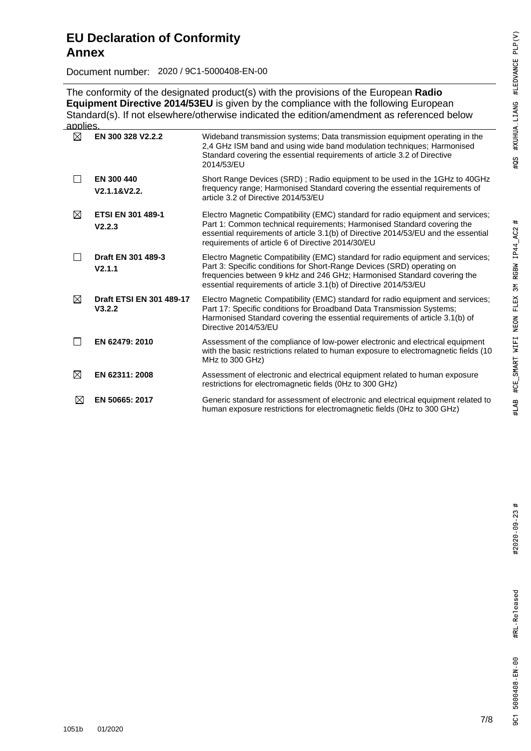Document number: 2020 / 9C1-5000408-EN-00

The conformity of the designated product(s) with the provisions of the European **Radio Equipment Directive 2014/53EU** is given by the compliance with the following European Standard(s). If not elsewhere/otherwise indicated the edition/amendment as referenced below applies

| $\boxtimes$ | EN 300 328 V2.2.2                         | Wideband transmission systems; Data transmission equipment operating in the<br>2,4 GHz ISM band and using wide band modulation techniques; Harmonised<br>Standard covering the essential requirements of article 3.2 of Directive<br>2014/53/EU                                                          |
|-------------|-------------------------------------------|----------------------------------------------------------------------------------------------------------------------------------------------------------------------------------------------------------------------------------------------------------------------------------------------------------|
|             | EN 300 440<br>V2.1.1&V2.2.                | Short Range Devices (SRD); Radio equipment to be used in the 1GHz to 40GHz<br>frequency range; Harmonised Standard covering the essential requirements of<br>article 3.2 of Directive 2014/53/EU                                                                                                         |
| ⊠           | <b>ETSI EN 301 489-1</b><br>V2.2.3        | Electro Magnetic Compatibility (EMC) standard for radio equipment and services;<br>Part 1: Common technical requirements; Harmonised Standard covering the<br>essential requirements of article 3.1(b) of Directive 2014/53/EU and the essential<br>requirements of article 6 of Directive 2014/30/EU    |
|             | Draft EN 301 489-3<br>V2.1.1              | Electro Magnetic Compatibility (EMC) standard for radio equipment and services;<br>Part 3: Specific conditions for Short-Range Devices (SRD) operating on<br>frequencies between 9 kHz and 246 GHz; Harmonised Standard covering the<br>essential requirements of article 3.1(b) of Directive 2014/53/EU |
| $\boxtimes$ | <b>Draft ETSI EN 301 489-17</b><br>V3.2.2 | Electro Magnetic Compatibility (EMC) standard for radio equipment and services;<br>Part 17: Specific conditions for Broadband Data Transmission Systems;<br>Harmonised Standard covering the essential requirements of article 3.1(b) of<br>Directive 2014/53/EU                                         |
|             | EN 62479: 2010                            | Assessment of the compliance of low-power electronic and electrical equipment<br>with the basic restrictions related to human exposure to electromagnetic fields (10<br>MHz to 300 GHz)                                                                                                                  |
| $\boxtimes$ | EN 62311: 2008                            | Assessment of electronic and electrical equipment related to human exposure<br>restrictions for electromagnetic fields (0Hz to 300 GHz)                                                                                                                                                                  |
| ⊠           | EN 50665: 2017                            | Generic standard for assessment of electronic and electrical equipment related to<br>human exposure restrictions for electromagnetic fields (0Hz to 300 GHz)                                                                                                                                             |